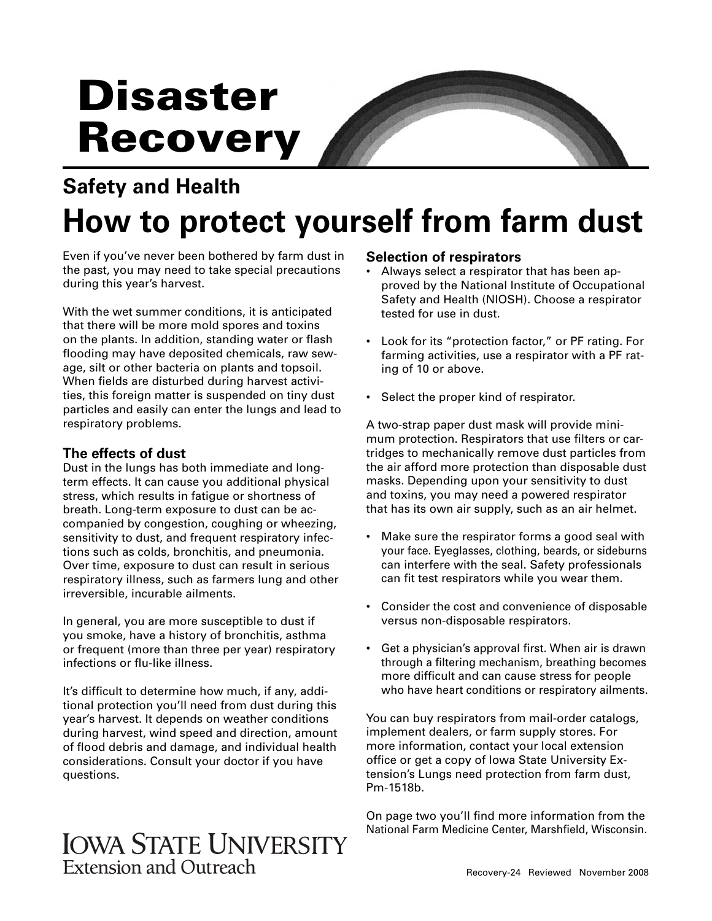# **Disaster Recovery**

## **Safety and Health How to protect yourself from farm dust**

Even if you've never been bothered by farm dust in the past, you may need to take special precautions during this year's harvest.

With the wet summer conditions, it is anticipated that there will be more mold spores and toxins on the plants. In addition, standing water or flash flooding may have deposited chemicals, raw sewage, silt or other bacteria on plants and topsoil. When fields are disturbed during harvest activities, this foreign matter is suspended on tiny dust particles and easily can enter the lungs and lead to respiratory problems.

#### **The effects of dust**

Dust in the lungs has both immediate and longterm effects. It can cause you additional physical stress, which results in fatigue or shortness of breath. Long-term exposure to dust can be accompanied by congestion, coughing or wheezing, sensitivity to dust, and frequent respiratory infections such as colds, bronchitis, and pneumonia. Over time, exposure to dust can result in serious respiratory illness, such as farmers lung and other irreversible, incurable ailments.

In general, you are more susceptible to dust if you smoke, have a history of bronchitis, asthma or frequent (more than three per year) respiratory infections or flu-like illness.

It's difficult to determine how much, if any, additional protection you'll need from dust during this year's harvest. It depends on weather conditions during harvest, wind speed and direction, amount of flood debris and damage, and individual health

## considerations. Consult your doctor if you have questions.

### IOWA STATE UNIVERSITY Extension and Outreach

#### **Selection of respirators**

- Always select a respirator that has been approved by the National Institute of Occupational Safety and Health (NIOSH). Choose a respirator tested for use in dust.
- Look for its "protection factor," or PF rating. For farming activities, use a respirator with a PF rating of 10 or above.
- Select the proper kind of respirator.

A two-strap paper dust mask will provide minimum protection. Respirators that use filters or cartridges to mechanically remove dust particles from the air afford more protection than disposable dust masks. Depending upon your sensitivity to dust and toxins, you may need a powered respirator that has its own air supply, such as an air helmet.

- Make sure the respirator forms a good seal with your face. Eyeglasses, clothing, beards, or sideburns can interfere with the seal. Safety professionals can fit test respirators while you wear them.
- Consider the cost and convenience of disposable versus non-disposable respirators.
- Get a physician's approval first. When air is drawn through a fltering mechanism, breathing becomes more difficult and can cause stress for people who have heart conditions or respiratory ailments.

You can buy respirators from mail-order catalogs, implement dealers, or farm supply stores. For more information, contact your local extension office or get a copy of Iowa State University Extension's Lungs need protection from farm dust, Pm-1518b.

On page two you'll fnd more information from the National Farm Medicine Center, Marshfield, Wisconsin.